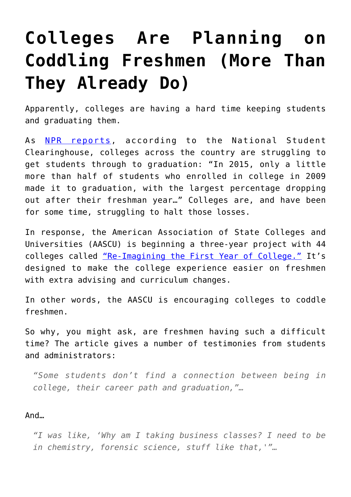## **[Colleges Are Planning on](https://intellectualtakeout.org/2016/02/colleges-are-planning-on-coddling-freshmen-more-than-they-already-do/) [Coddling Freshmen \(More Than](https://intellectualtakeout.org/2016/02/colleges-are-planning-on-coddling-freshmen-more-than-they-already-do/) [They Already Do\)](https://intellectualtakeout.org/2016/02/colleges-are-planning-on-coddling-freshmen-more-than-they-already-do/)**

Apparently, colleges are having a hard time keeping students and graduating them.

As [NPR reports,](http://www.npr.org/sections/ed/2016/02/25/466454645/fixing-a-broken-freshman-year-what-an-overhaul-might-look-like) according to the National Student Clearinghouse, colleges across the country are struggling to get students through to graduation: "In 2015, only a little more than half of students who enrolled in college in 2009 made it to graduation, with the largest percentage dropping out after their freshman year…" Colleges are, and have been for some time, struggling to halt those losses.

In response, the American Association of State Colleges and Universities (AASCU) is beginning a three-year project with 44 colleges called ["Re-Imagining the First Year of College."](http://www.aascu.org/RFY/) It's designed to make the college experience easier on freshmen with extra advising and curriculum changes.

In other words, the AASCU is encouraging colleges to coddle freshmen.

So why, you might ask, are freshmen having such a difficult time? The article gives a number of testimonies from students and administrators:

*"Some students don't find a connection between being in college, their career path and graduation,"…*

## And…

*"I was like, 'Why am I taking business classes? I need to be in chemistry, forensic science, stuff like that,'"…*